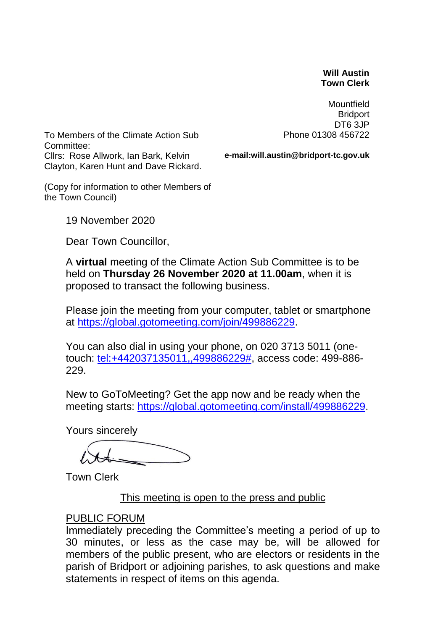#### **Will Austin Town Clerk**

**Mountfield Bridport** DT6 3JP Phone 01308 456722

To Members of the Climate Action Sub Committee: Cllrs: Rose Allwork, Ian Bark, Kelvin Clayton, Karen Hunt and Dave Rickard.

**e-mail:will.austin@bridport-tc.gov.uk**

(Copy for information to other Members of the Town Council)

19 November 2020

Dear Town Councillor,

A **virtual** meeting of the Climate Action Sub Committee is to be held on **Thursday 26 November 2020 at 11.00am**, when it is proposed to transact the following business.

Please join the meeting from your computer, tablet or smartphone at [https://global.gotomeeting.com/join/499886229.](https://global.gotomeeting.com/join/499886229)

You can also dial in using your phone, on 020 3713 5011 (onetouch: [tel:+442037135011,,499886229#,](tel:+442037135011,,499886229) access code: 499-886- 229.

New to GoToMeeting? Get the app now and be ready when the meeting starts: [https://global.gotomeeting.com/install/499886229.](https://global.gotomeeting.com/install/499886229)

Yours sincerely

Town Clerk

This meeting is open to the press and public

### PUBLIC FORUM

Immediately preceding the Committee's meeting a period of up to 30 minutes, or less as the case may be, will be allowed for members of the public present, who are electors or residents in the parish of Bridport or adjoining parishes, to ask questions and make statements in respect of items on this agenda.